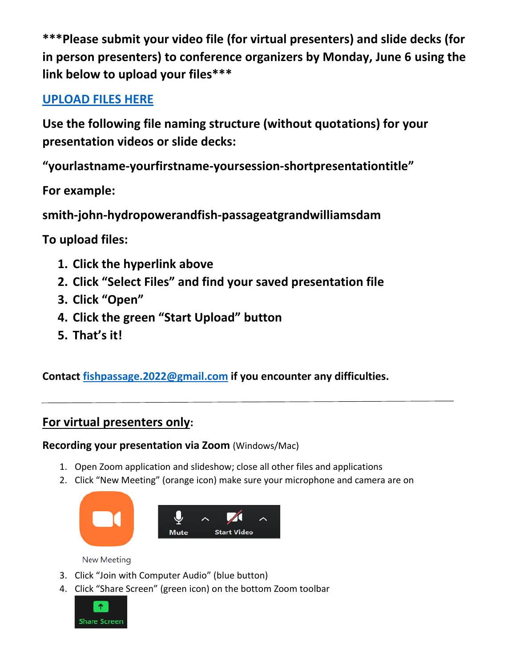**\*\*\*Please submit your video file (for virtual presenters) and slide decks (for in person presenters) to conference organizers by Monday, June 6 using the link below to upload your files\*\*\***

# **[UPLOAD FILES HERE](https://fx.pnnl.gov/index.php?action=Authenticate.login&cookies_enabled=1&login=1&js_enabled=yes&username=5k6KGNd6feTa8NW3RZJDUQ&startpage=1&sendto=Henderson%2c+Chris+D)**

**Use the following file naming structure (without quotations) for your presentation videos or slide decks:**

**"yourlastname-yourfirstname-yoursession-shortpresentationtitle"**

**For example:**

**smith-john-hydropowerandfish-passageatgrandwilliamsdam**

**To upload files:**

- **1. Click the hyperlink above**
- **2. Click "Select Files" and find your saved presentation file**
- **3. Click "Open"**
- **4. Click the green "Start Upload" button**
- **5. That's it!**

**Contact [fishpassage.2022@gmail.com](mailto:fishpassage.2022@gmail.com) if you encounter any difficulties.**

## **For virtual presenters only:**

## **Recording your presentation via Zoom** (Windows/Mac)

- 1. Open Zoom application and slideshow; close all other files and applications
- 2. Click "New Meeting" (orange icon) make sure your microphone and camera are on



**New Meeting** 

- 3. Click "Join with Computer Audio" (blue button)
- 4. Click "Share Screen" (green icon) on the bottom Zoom toolbar

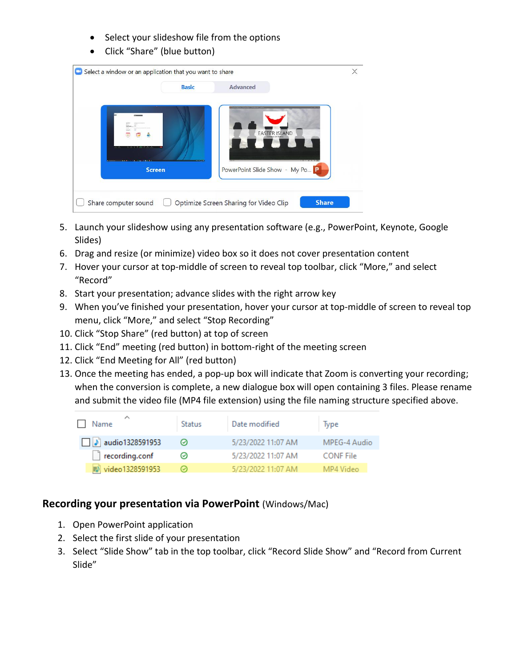- Select your slideshow file from the options
- Click "Share" (blue button)

|               | <b>Basic</b> | <b>Advanced</b>               |  |
|---------------|--------------|-------------------------------|--|
|               |              | <b>EASTER ISLAND</b>          |  |
| <b>Screen</b> |              | PowerPoint Slide Show - My Po |  |

- 5. Launch your slideshow using any presentation software (e.g., PowerPoint, Keynote, Google Slides)
- 6. Drag and resize (or minimize) video box so it does not cover presentation content
- 7. Hover your cursor at top-middle of screen to reveal top toolbar, click "More," and select "Record"
- 8. Start your presentation; advance slides with the right arrow key
- 9. When you've finished your presentation, hover your cursor at top-middle of screen to reveal top menu, click "More," and select "Stop Recording"
- 10. Click "Stop Share" (red button) at top of screen
- 11. Click "End" meeting (red button) in bottom-right of the meeting screen
- 12. Click "End Meeting for All" (red button)
- 13. Once the meeting has ended, a pop-up box will indicate that Zoom is converting your recording; when the conversion is complete, a new dialogue box will open containing 3 files. Please rename and submit the video file (MP4 file extension) using the file naming structure specified above.

| Name                   | Status  | Date modified      | lype             |
|------------------------|---------|--------------------|------------------|
| $\Box$ audio1328591953 | $\circ$ | 5/23/2022 11:07 AM | MPEG-4 Audio     |
| recording.conf         |         | 5/23/2022 11:07 AM | <b>CONF</b> File |
| 图 video1328591953      |         | 5/23/2022 11:07 AM | MP4 Video        |

### **Recording your presentation via PowerPoint** (Windows/Mac)

- 1. Open PowerPoint application
- 2. Select the first slide of your presentation
- 3. Select "Slide Show" tab in the top toolbar, click "Record Slide Show" and "Record from Current Slide"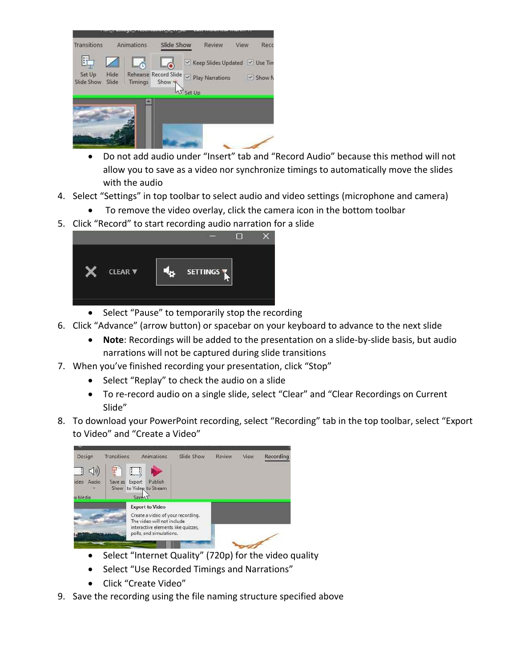

- Do not add audio under "Insert" tab and "Record Audio" because this method will not allow you to save as a video nor synchronize timings to automatically move the slides with the audio
- 4. Select "Settings" in top toolbar to select audio and video settings (microphone and camera)
	- To remove the video overlay, click the camera icon in the bottom toolbar
- 5. Click "Record" to start recording audio narration for a slide

| <b>CLEAR V</b> | <b>SETTINGS</b> |  |
|----------------|-----------------|--|
|                |                 |  |
|                |                 |  |

- Select "Pause" to temporarily stop the recording
- 6. Click "Advance" (arrow button) or spacebar on your keyboard to advance to the next slide
	- **Note**: Recordings will be added to the presentation on a slide-by-slide basis, but audio narrations will not be captured during slide transitions
- 7. When you've finished recording your presentation, click "Stop"
	- Select "Replay" to check the audio on a slide
	- To re-record audio on a single slide, select "Clear" and "Clear Recordings on Current Slide"
- 8. To download your PowerPoint recording, select "Recording" tab in the top toolbar, select "Export to Video" and "Create a Video"



- Select "Internet Quality" (720p) for the video quality
- Select "Use Recorded Timings and Narrations"
- Click "Create Video"
- 9. Save the recording using the file naming structure specified above